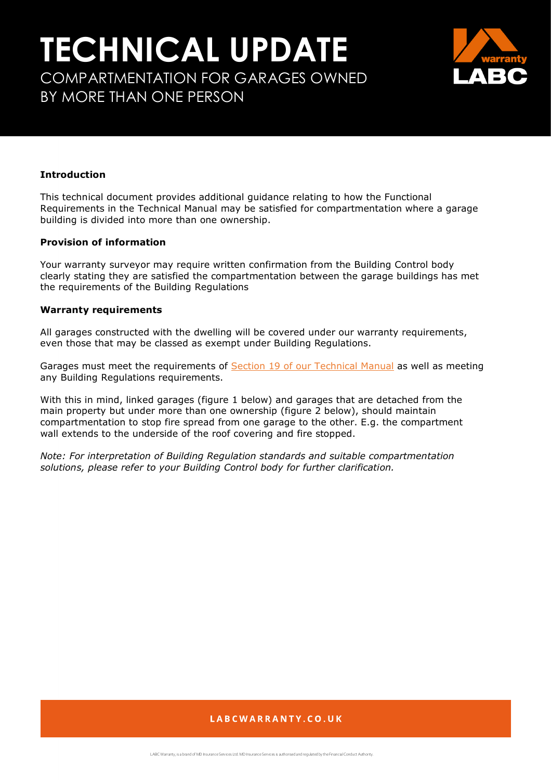# **TECHNICAL UPDATE** COMPARTMENTATION FOR GARAGES OWNED BY MORE THAN ONE PERSON



### **Introduction**

This technical document provides additional guidance relating to how the Functional Requirements in the Technical Manual may be satisfied for compartmentation where a garage building is divided into more than one ownership.

#### **Provision of information**

Your warranty surveyor may require written confirmation from the Building Control body clearly stating they are satisfied the compartmentation between the garage buildings has met the requirements of the Building Regulations

#### **Warranty requirements**

All garages constructed with the dwelling will be covered under our warranty requirements, even those that may be classed as exempt under Building Regulations.

Garages must meet the requirements of [Section 19 of our Technical Manual](https://info.labcwarranty.co.uk/technical-manual-s19) as well as meeting any Building Regulations requirements.

With this in mind, linked garages (figure 1 below) and garages that are detached from the main property but under more than one ownership (figure 2 below), should maintain compartmentation to stop fire spread from one garage to the other. E.g. the compartment wall extends to the underside of the roof covering and fire stopped.

*Note: For interpretation of Building Regulation standards and suitable compartmentation solutions, please refer to your Building Control body for further clarification.*

### LABCWARRANTY.CO.UK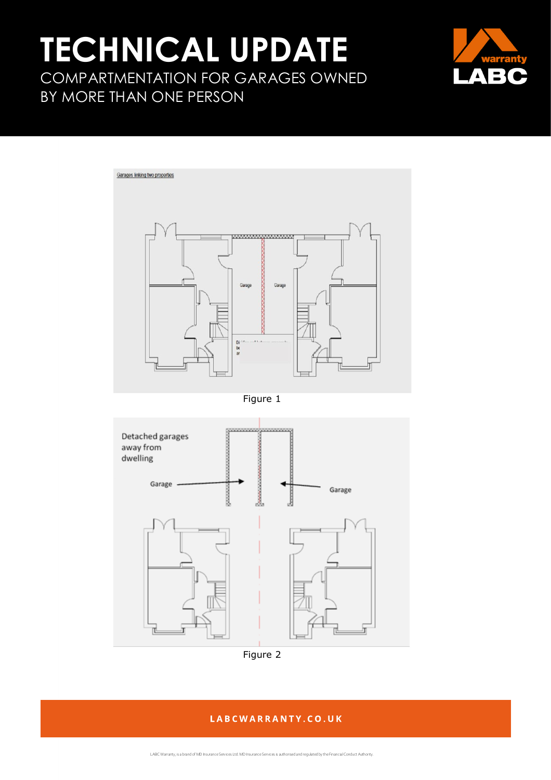## **TECHNICAL UPDATE** COMPARTMENTATION FOR GARAGES OWNED BY MORE THAN ONE PERSON





Figure 1





### LABCWARRANTY.CO.UK